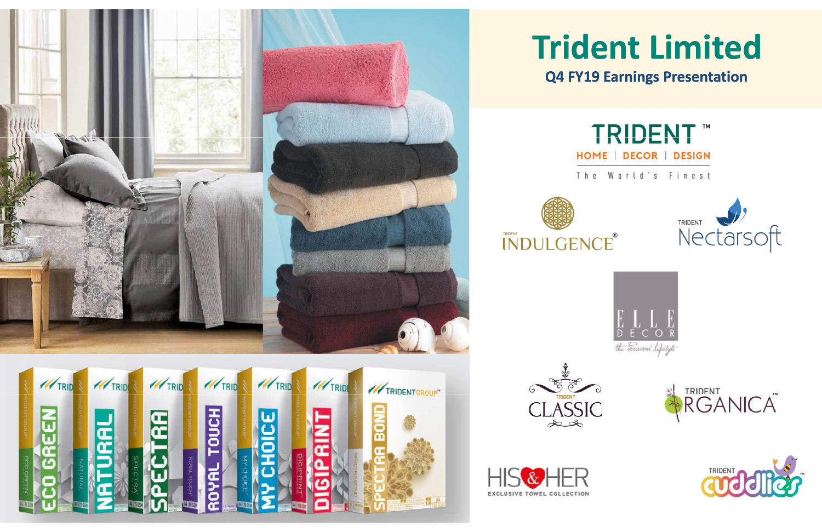









## **Trident LimitedQ4 FY19 Earnings Presentation**



The World's Finest









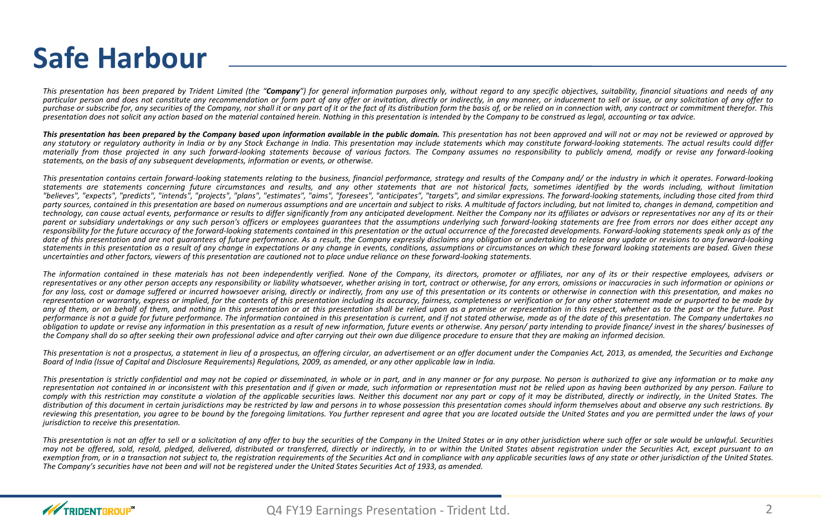# **Safe Harbour**

This presentation has been prepared by Trident Limited (the "**Company**") for general information purposes only, without regard to any specific objectives, suitability, financial situations and needs of any particular person and does not constitute any recommendation or form part of any offer or invitation, directly or indirectly, in any manner, or inducement to sell or issue, or any solicitation of any offer to purchase or subscribe for, any securities of the Company, nor shall it or any part of it or the fact of its distribution form the basis of, or be relied on in connection with, any contract or commitment therefor. This<br>pres presentation does not solicit any action based on the material contained herein. Nothing in this presentation is intended by the Company to be construed as legal, accounting or tax advice.

This presentation has been prepared by the Company based upon information available in the public domain. This presentation has not been approved and will not or may not be reviewed or approved by the state of the reviewe any statutory or regulatory authority in India or by any Stock Exchange in India. This presentation may include statements which may constitute forward-looking statements. The actual results could differ materially from those projected in any such forward-looking statements because of various factors. The Company assumes no responsibility to publicly amend, modify or revise any forward-looking statements, on the basis of any subsequent developments, information or events, or otherwise.

This presentation contains certain forward-looking statements relating to the business, financial performance, strategy and results of the Company and/ or the industry in which it operates. Forward-looking statements are statements concerning future circumstances and results, and any other statements that are not historical facts, sometimes identified by the words including, without limitation "believes", "expects", "predicts", "intends", "projects", "plans", "estimates", "aims", "foresees", "anticipates", "targets", and similar expressions. The forward-looking statements, including those cited from third party sources, contained in this presentation are based on numerous assumptions and are uncertain and subject to risks. A multitude of factors including, but not limited to, changes in demand, competition and technology, can cause actual events, performance or results to differ significantly from any anticipated development. Neither the Company nor its affiliates or advisors or representatives nor any of its or their parent or subsidiary undertakings or any such person's officers or employees quarantees that the assumptions underlying such forward-looking statements are free from errors nor does either accept any responsibility for the future accuracy of the forward-looking statements contained in this presentation or the actual occurrence of the forecasted developments. Forward-looking statements speak only as of the date of this presentation and are not quarantees of future performance. As a result, the Company expressly disclaims any obligation or undertaking to release any update or revisions to any forward-looking statements in this presentation as a result of any change in expectations or any change in events, conditions, assumptions or circumstances on which these forward looking statements are based. Given these uncertainties and other factors, viewers of this presentation are cautioned not to place undue reliance on these forward-looking statements.

The information contained in these materials has not been independently verified. None of the Company, its directors, promoter or affiliates, nor any of its or their respective employees, advisers or representatives or any other person accepts any responsibility or liability whatsoever, whether arising in tort, contract or otherwise, for any errors, omissions or inaccuracies in such information or opinions or for any loss, cost or damage suffered or incurred howsoever arising, directly or indirectly, from any use of this presentation or its contents or otherwise in connection with this presentation, and makes no representation or warranty, express or implied, for the contents of this presentation including its accuracy, fairness, completeness or verification or for any other statement made or purported to be made by any of them, or on behalf of them, and nothing in this presentation or at this presentation shall be relied upon as a promise or representation in this respect, whether as to the past or the future. Past performance is not a quide for future performance. The information contained in this presentation is current, and if not stated otherwise, made as of the date of this presentation. The Company undertakes no obligation to update or revise any information in this presentation as a result of new information, future events or otherwise. Any person/ party intending to provide finance/ invest in the shares/ businesses of the Company shall do so after seeking their own professional advice and after carrying out their own due diligence procedure to ensure that they are making an informed decision.

This presentation is not a prospectus, a statement in lieu of a prospectus, an offering circular, an advertisement or an offer document under the Companies Act, 2013, as amended, the Securities and Exchange Board of India (Issue of Capital and Disclosure Requirements) Regulations, 2009, as amended, or any other applicable law in India.

This presentation is strictly confidential and may not be copied or disseminated, in whole or in part, and in any manner or for any purpose. No person is authorized to give any information or to make any representation not contained in or inconsistent with this presentation and if given or made, such information or representation must not be relied upon as having been authorized by any person. Failure to comply with this restriction may constitute a violation of the applicable securities laws. Neither this document nor any part or copy of it may be distributed, directly or indirectly, in the United States. The<br>............ distribution of this document in certain jurisdictions may be restricted by law and persons in to whose possession this presentation comes should inform themselves about and observe any such restrictions. By reviewing this presentation, you agree to be bound by the foregoing limitations. You further represent and agree that you are located outside the United States and you are permitted under the laws of your<br>................. *jurisdiction to receive this presentation.*

This presentation is not an offer to sell or a solicitation of any offer to buy the securities of the Company in the United States or in any other jurisdiction where such offer or sale would be unlawful. Securities may not be offered, sold, resold, pledged, delivered, distributed or transferred, directly or indirectly, in to or within the United States absent registration under the Securities Act, except pursuant to an exemption from, or in a transaction not subject to, the registration requirements of the Securities Act and in compliance with any applicable securities laws of any state or other jurisdiction of the United States.<br>— The Company's securities have not been and will not be registered under the United States Securities Act of 1933, as amended.

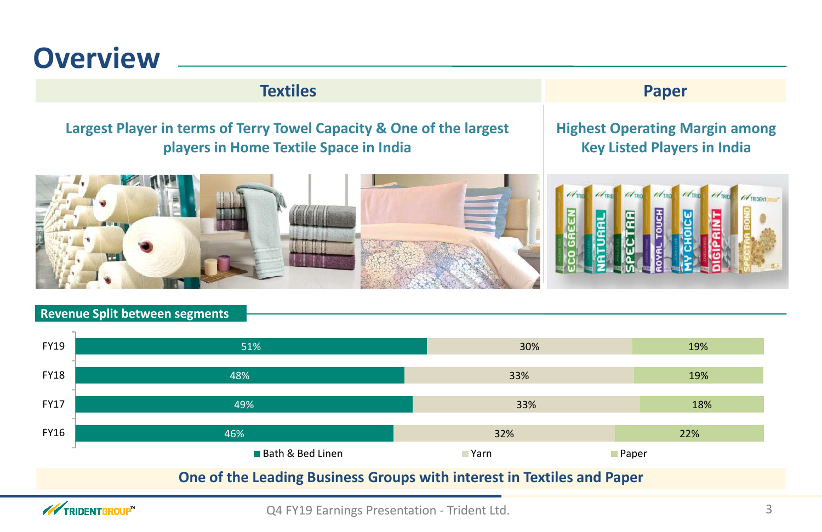

## **Textiles**

## **Largest Player in terms of Terry Towel Capacity & One of the largest players in Home Textile Space in India**



## **Highest Operating Margin amongKey Listed Players in India**

### **Revenue Split between segments**

**WIRIDENTGROUP** 



Q4 FY19 Earnings Presentation - Trident Ltd. 3

## **S** Paper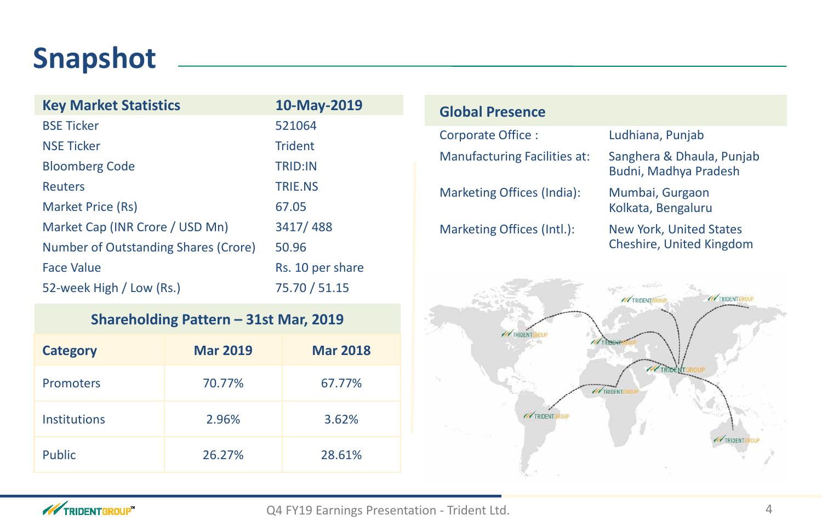# **Snapshot**

## **Global Presence**

### Ludhiana, Punjab

Corporate Office :Manufacturing Facilities at: Sanghera & Dhaula, Punja b

| <b>Key Market Statistics</b>                | 10-May-2019      |
|---------------------------------------------|------------------|
| <b>BSE Ticker</b>                           | 521064           |
| <b>NSE Ticker</b>                           | <b>Trident</b>   |
| <b>Bloomberg Code</b>                       | <b>TRID:IN</b>   |
| <b>Reuters</b>                              | <b>TRIE.NS</b>   |
| <b>Market Price (Rs)</b>                    | 67.05            |
| Market Cap (INR Crore / USD Mn)             | 3417/488         |
| <b>Number of Outstanding Shares (Crore)</b> | 50.96            |
| <b>Face Value</b>                           | Rs. 10 per share |
| 52-week High / Low (Rs.)                    | 75.70 / 51.15    |

Budni, Madhya Pradesh

Marketing Offices (India): Mumbai, Gurgaon

Kolkata, Bengaluru

Marketing Offices (Intl.): New York, United States

Cheshire, United Kingdom

## **Shareholding Pattern – 31st Mar, 2019**

| <b>Category</b>     | <b>Mar 2019</b> | <b>Mar 2018</b> |
|---------------------|-----------------|-----------------|
| Promoters           | 70.77%          | 67.77%          |
| <b>Institutions</b> | 2.96%           | 3.62%           |
| <b>Public</b>       | 26.27%          | 28.61%          |



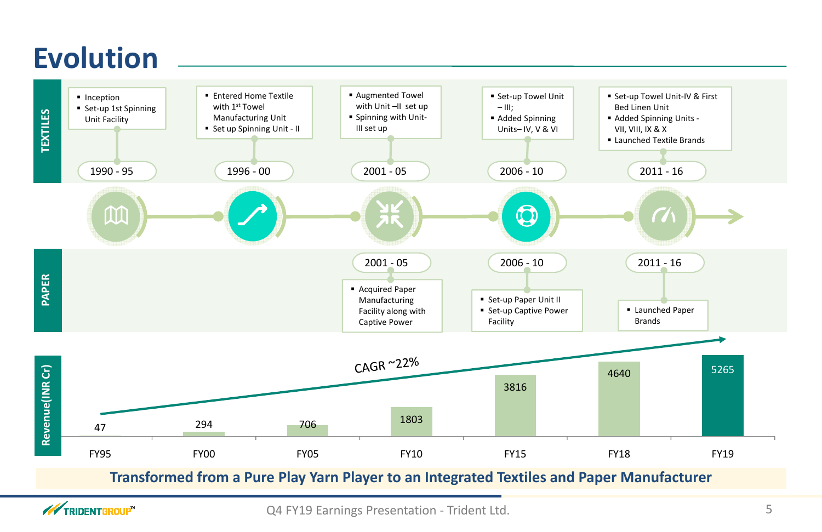# **Evolution**



**WEIGHT TRIDENT GROUP**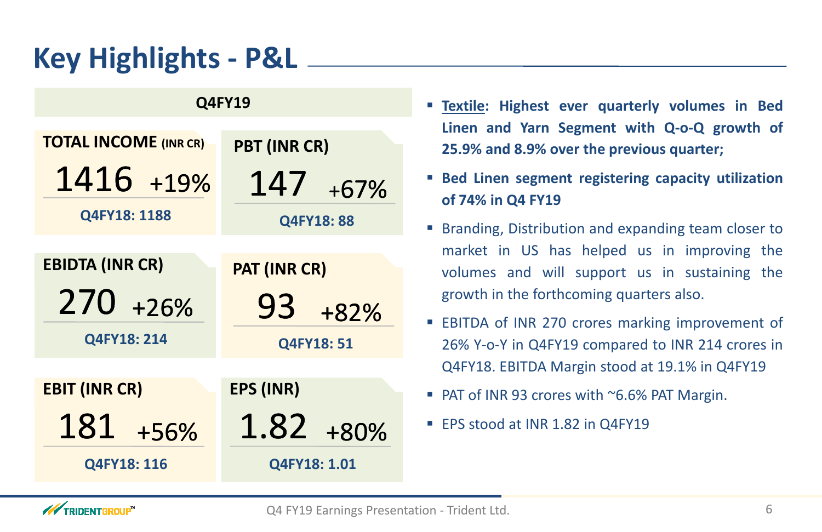# **Key Highlights - P&L**

## **Q4FY19**

- **Textile: Highest ever quarterly volumes in Bed25.9% and 8.9% over the previous quarter;**
- **Bed Linen segment registering capacity utilizationof 74% in Q4 FY19**
- **Branding, Distribution and expanding team closer to** growth in the forthcoming quarters also.
- Q4FY18. EBITDA Margin stood at 19.1% in Q4FY19
- PAT of INR 93 crores with ~6.6% PAT Margin.
- EPS stood at INR 1.82 in Q4FY19



**Linen and Yarn Segment with Q-o-Q growth of**

■ EBITDA of INR 270 crores marking improvement of 26% Y-o-Y in Q4FY19 compared to INR <sup>214</sup> crores in

market in US has helped us in improving the volumes and will support us in sustaining the

| <b>TOTAL INCOME (INR CR)</b> | PBT (INR CR)      |
|------------------------------|-------------------|
| 1416 +19%                    | 147<br>$+67%$     |
| Q4FY18: 1188                 | <b>Q4FY18: 88</b> |
|                              |                   |
| <b>EBIDTA (INR CR)</b>       | PAT (INR CR)      |
| 270 +26%                     | 93<br>+82%        |
| Q4FY18: 214                  | <b>Q4FY18: 51</b> |
|                              |                   |
| <b>EBIT (INR CR)</b>         | <b>EPS (INR)</b>  |
| 181<br>+56%                  | $1.82 + 80\%$     |
| Q4FY18: 116                  | Q4FY18: 1.01      |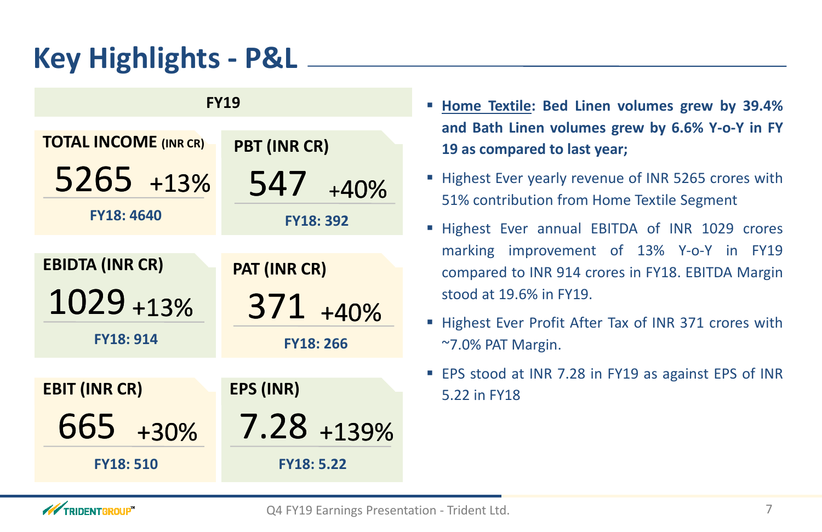# **Key Highlights - P&L**

**FY19**

**TOTAL INCOME (INR CR)**

5265 $5 + 13%$  **and Bath Linen volumes grew by 6.6% Y-o-Y in FY**

 **PBT (INR CR)**547+40%

**FY18: 4640**

**PAT (INR CR)**

**FY18: 392**

371 $\frac{1 + 40\%}{1 + 40\%}$ 

**EBIDTA (INR CR)**1029

 $9 + 13%$ 

- **Home Textile: Bed Linen volumes grew by 39.4% <sup>19</sup> as compared to last year;**
- Highest Ever yearly revenue of INR 5265 crores with 51% contribution from Home Textile Segment
- **Highest Ever annual EBITDA of INR 1029 crores** compared to INR <sup>914</sup> crores in FY18. EBITDA Margin stood at 19.6% in FY19.
- **Highest Ever Profit After Tax of INR 371 crores with** ~7.0% PAT Margin.
- EPS stood at INR 7.28 in FY19 as against EPS of INR 5.22 in FY18



marking improvement of 13% Y-o-Y in FY19

7.28 $8 + 139%$ 

**FY18: 914**

**FY18: 266**

**EBIT (INR CR)**

**EPS (INR)**

Q4 FY19 Earnings Presentation - Trident Ltd.

665+30%

**FY18: 510**

**FY18: 5.22**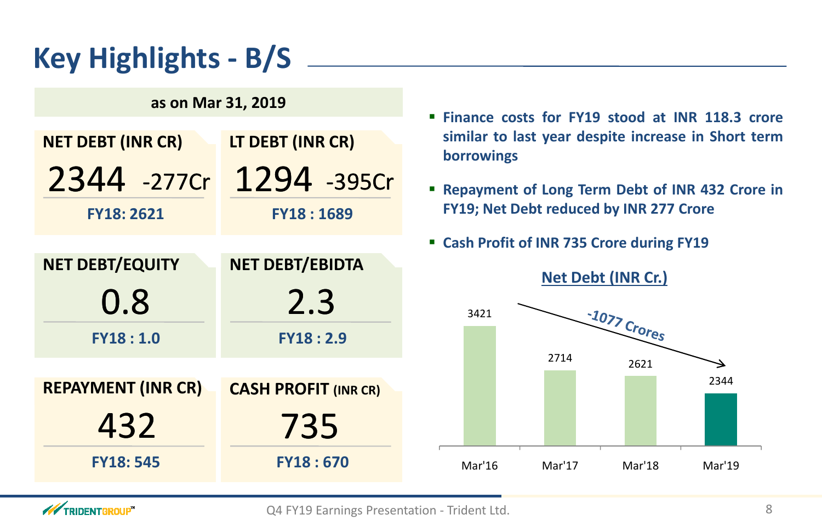

## **Finance costs for FY19 stood at INR 118.3 crore lastle increase in Short term**

# **Key Highlights - B/S**

## **Debt of INR <sup>432</sup> Crore in by** INR 277 Crore

- **Combinds EY19**
- **ht (INR Cr.)**

| <b>NET DEBT (INR CR)</b>  | LT DEBT (INR CR)            | borrowings                              | similar to last year despite increase in Shor     |                    |        |
|---------------------------|-----------------------------|-----------------------------------------|---------------------------------------------------|--------------------|--------|
|                           | 2344 -277Cr 1294 -395Cr     |                                         | <b>- Repayment of Long Term Debt of INR 432 C</b> |                    |        |
| <b>FY18: 2621</b>         | <b>FY18:1689</b>            | FY19; Net Debt reduced by INR 277 Crore |                                                   |                    |        |
|                           |                             |                                         | " Cash Profit of INR 735 Crore during FY19        |                    |        |
| <b>NET DEBT/EQUITY</b>    | NET DEBT/EBIDTA             |                                         |                                                   | Net Debt (INR Cr.) |        |
| 0.8                       | 2.3                         | 3421                                    |                                                   |                    |        |
| FY18:1.0                  | <b>FY18:2.9</b>             |                                         |                                                   | $-1077$ Crores     |        |
|                           |                             |                                         | 2714                                              | 2621               |        |
| <b>REPAYMENT (INR CR)</b> | <b>CASH PROFIT (INR CR)</b> |                                         |                                                   |                    | 2344   |
| 43Z                       | 735                         |                                         |                                                   |                    |        |
| <b>FY18: 545</b>          | <b>FY18:670</b>             | Mar'16                                  | Mar'17                                            | Mar'18             | Mar'19 |
|                           |                             |                                         |                                                   |                    |        |



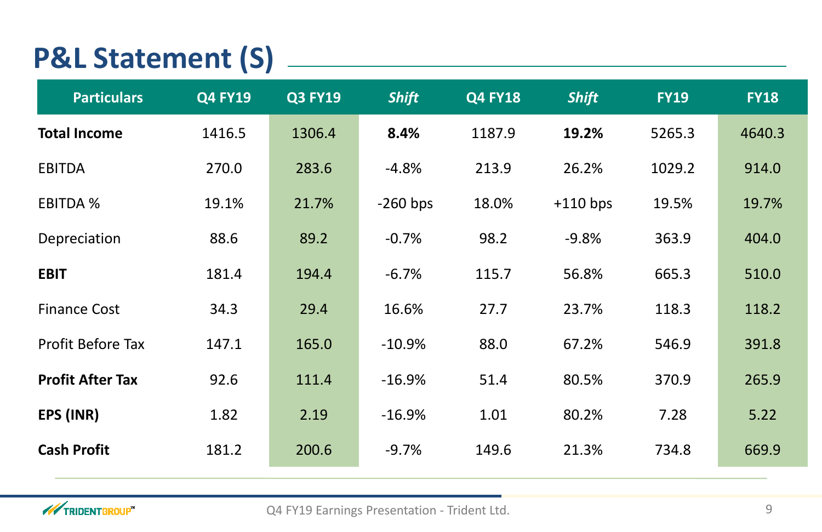# **P&L Statement (S)**

| <b>Particulars</b>       | <b>Q4 FY19</b> | <b>Q3 FY19</b> | <b>Shift</b> | <b>Q4 FY18</b> | <b>Shift</b> | <b>FY19</b> | <b>FY18</b> |
|--------------------------|----------------|----------------|--------------|----------------|--------------|-------------|-------------|
| <b>Total Income</b>      | 1416.5         | 1306.4         | 8.4%         | 1187.9         | 19.2%        | 5265.3      | 4640.3      |
| <b>EBITDA</b>            | 270.0          | 283.6          | $-4.8%$      | 213.9          | 26.2%        | 1029.2      | 914.0       |
| <b>EBITDA %</b>          | 19.1%          | 21.7%          | $-260$ bps   | 18.0%          | $+110$ bps   | 19.5%       | 19.7%       |
| Depreciation             | 88.6           | 89.2           | $-0.7%$      | 98.2           | $-9.8%$      | 363.9       | 404.0       |
| <b>EBIT</b>              | 181.4          | 194.4          | $-6.7%$      | 115.7          | 56.8%        | 665.3       | 510.0       |
| <b>Finance Cost</b>      | 34.3           | 29.4           | 16.6%        | 27.7           | 23.7%        | 118.3       | 118.2       |
| <b>Profit Before Tax</b> | 147.1          | 165.0          | $-10.9\%$    | 88.0           | 67.2%        | 546.9       | 391.8       |
| <b>Profit After Tax</b>  | 92.6           | 111.4          | $-16.9%$     | 51.4           | 80.5%        | 370.9       | 265.9       |
| EPS (INR)                | 1.82           | 2.19           | $-16.9%$     | 1.01           | 80.2%        | 7.28        | 5.22        |
| <b>Cash Profit</b>       | 181.2          | 200.6          | $-9.7%$      | 149.6          | 21.3%        | 734.8       | 669.9       |

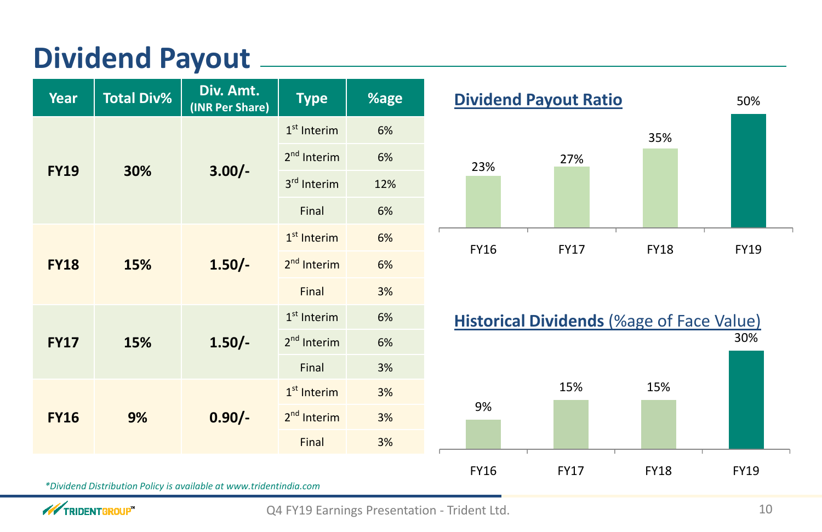# **Dividend Payout**

| Year                           | <b>Total Div%</b>                                                                 | Div. Amt.<br>(INR Per Share) | <b>Type</b>                   | %age        | <b>Dividend Payout Ratio</b> |                                      |             |
|--------------------------------|-----------------------------------------------------------------------------------|------------------------------|-------------------------------|-------------|------------------------------|--------------------------------------|-------------|
|                                |                                                                                   |                              | $1st$ Interim                 | 6%          |                              |                                      | 35%         |
|                                | 2 <sup>nd</sup> Interim<br>$3.00/-$<br><b>FY19</b><br>30%<br>3rd Interim<br>Final | 6%                           | 23%                           | 27%         |                              |                                      |             |
|                                |                                                                                   |                              | 12%                           |             |                              |                                      |             |
|                                |                                                                                   |                              | 6%                            |             |                              |                                      |             |
|                                |                                                                                   |                              | 1 <sup>st</sup> Interim<br>6% | <b>FY16</b> | <b>FY17</b>                  | <b>FY18</b>                          |             |
| $1.50/-$<br>15%<br><b>FY18</b> |                                                                                   | 2 <sup>nd</sup> Interim      | 6%                            |             |                              |                                      |             |
|                                |                                                                                   | Final                        | 3%                            |             |                              |                                      |             |
|                                |                                                                                   |                              | 1 <sup>st</sup> Interim       | 6%          |                              | <b>Historical Dividends (%age of</b> |             |
| <b>FY17</b>                    | 15%                                                                               | $1.50/-$                     | $2nd$ Interim                 | 6%          |                              |                                      |             |
|                                |                                                                                   |                              | Final                         | 3%          |                              |                                      |             |
|                                |                                                                                   |                              | 1 <sup>st</sup> Interim       | 3%          |                              | 15%                                  | 15%         |
| <b>FY16</b>                    | 9%                                                                                | $0.90/-$                     | 2 <sup>nd</sup> Interim       | 3%          | 9%                           |                                      |             |
|                                |                                                                                   |                              | Final                         | 3%          |                              |                                      |             |
|                                |                                                                                   |                              |                               |             | <b>FY16</b>                  | <b>FY17</b>                          | <b>FY18</b> |



*\*Dividend Distribution Policy is available at www.tridentindia.com*

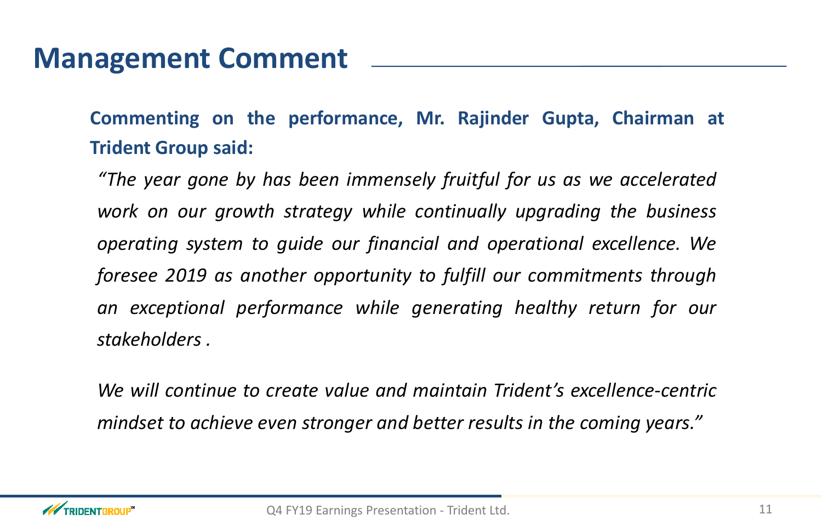# **Management Comment**

**Commenting on the performance, Mr. Rajinder Gupta, Chairman at Trident Group said:**

"The year gone by has been immensely fruitful for us as we accelerated *work on our growth strategy while continually upgrading the business operating system to guide our financial and operational excellence. We foresee <sup>2019</sup> as another opportunity to fulfill our commitments throughan exceptional performance while generating healthy return for our stakeholders .*

*We will continue to create value and maintain Trident's excellence -centric*mindset to achieve even stronger and better results in the coming years."

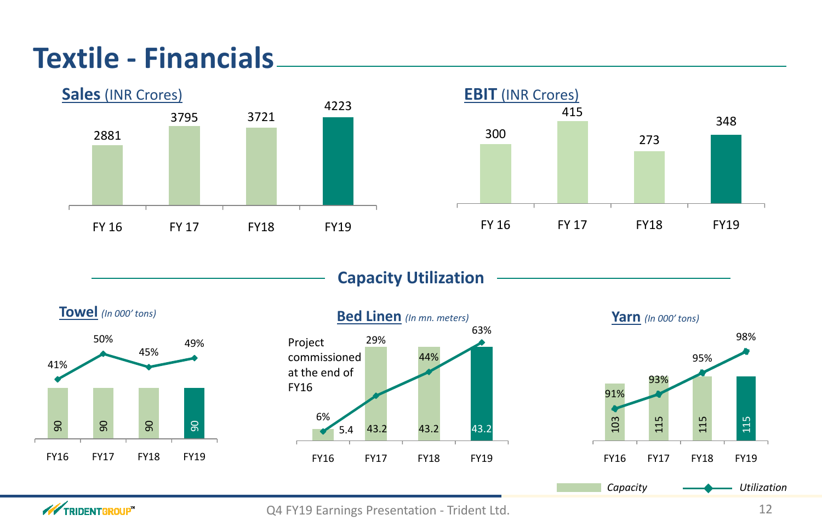# **Textile - Financials**







**WEIGHT TRIDENT GROUP** 



Q4 FY19 Earnings Presentation - Trident Ltd. 12

## **Capacity Utilization**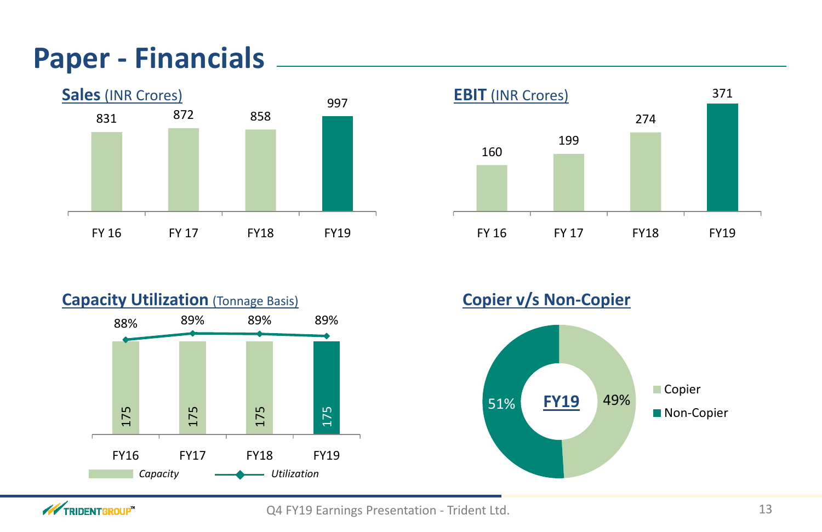# **Paper - Financials**

![](_page_12_Figure_1.jpeg)

![](_page_12_Figure_2.jpeg)

![](_page_12_Figure_3.jpeg)

**WIRIDENTGROUP** 

![](_page_12_Figure_6.jpeg)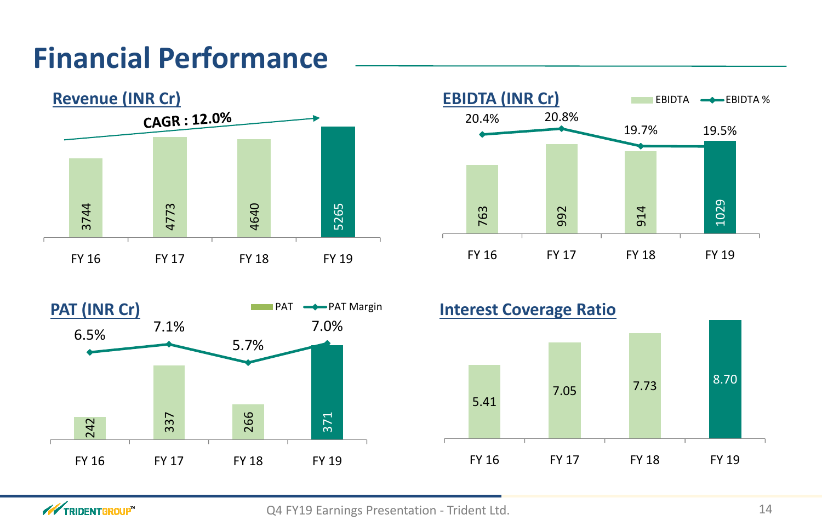# **Financial Performance**

![](_page_13_Figure_1.jpeg)

![](_page_13_Figure_2.jpeg)

![](_page_13_Figure_3.jpeg)

![](_page_13_Figure_10.jpeg)

![](_page_13_Figure_5.jpeg)

![](_page_13_Picture_6.jpeg)

![](_page_13_Figure_9.jpeg)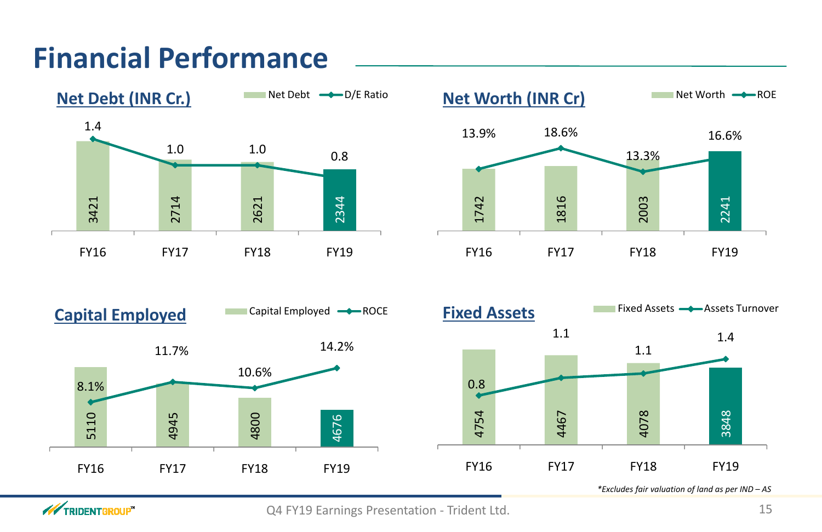# **Financial Performance**

![](_page_14_Figure_1.jpeg)

**WIRIDENTGROUP**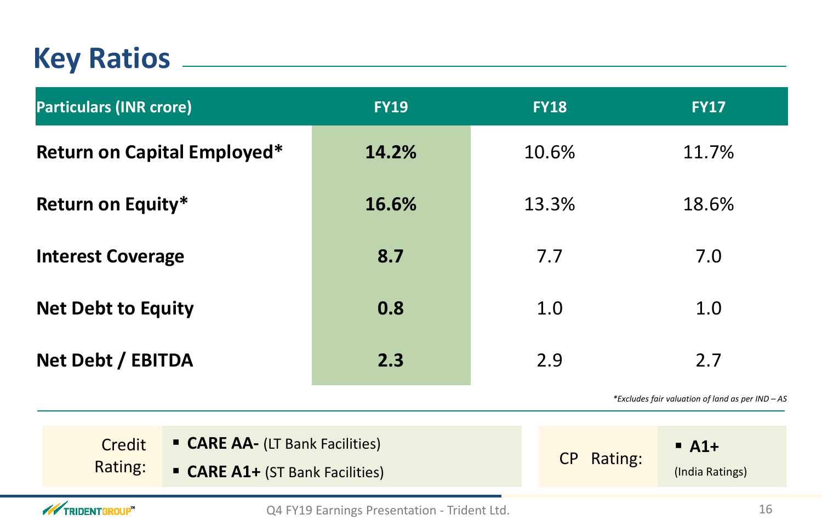# **Key Ratios**

| <b>Particulars (INR crore)</b>     | <b>FY19</b> | <b>FY18</b> | <b>FY17</b> |
|------------------------------------|-------------|-------------|-------------|
| <b>Return on Capital Employed*</b> | 14.2%       | 10.6%       | 11.7%       |
| <b>Return on Equity*</b>           | 16.6%       | 13.3%       | 18.6%       |
| <b>Interest Coverage</b>           | 8.7         | 7.7         | 7.0         |
| <b>Net Debt to Equity</b>          | 0.8         | 1.0         | 1.0         |
| Net Debt / EBITDA                  | 2.3         | 2.9         | 2.7         |

*\*Excludes fair valuation of land as per IND – AS*

## **A1+**

(India Ratings)

| Credit<br>Rating:           | <b>CARE AA- (LT Bank Facilities)</b><br><b>CARE A1+ (ST Bank Facilities)</b> | CP Rating: |
|-----------------------------|------------------------------------------------------------------------------|------------|
| <b>WEIGHT TRIDENT GROUP</b> | Q4 FY19 Earnings Presentation - Trident Ltd.                                 |            |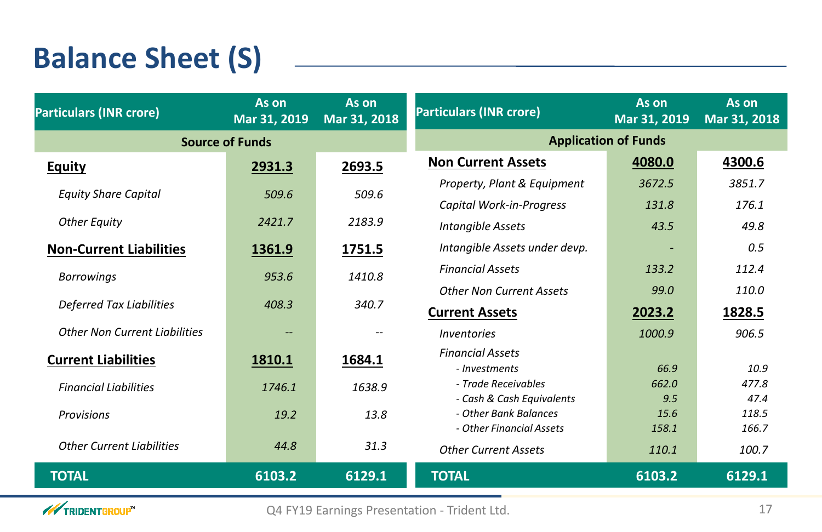# **Balance Sheet (S)**

| <b>Particulars (INR crore)</b>       | As on<br>Mar 31, 2019                          | As on<br>Mar 31, 2018    | <b>Particulars (INR crore)</b>  | As on<br>Mar 31, 2019 | As on<br>Mar 31, 2018 |
|--------------------------------------|------------------------------------------------|--------------------------|---------------------------------|-----------------------|-----------------------|
| <b>Source of Funds</b>               |                                                |                          | <b>Application of Funds</b>     |                       |                       |
| <b>Equity</b>                        | 2931.3                                         | 2693.5                   | <b>Non Current Assets</b>       | 4080.0                | 4300.6                |
|                                      |                                                |                          | Property, Plant & Equipment     | 3672.5                | 3851.7                |
| <b>Equity Share Capital</b>          | 509.6                                          | 509.6                    | Capital Work-in-Progress        | 131.8                 | 176.1                 |
| <b>Other Equity</b>                  | 2421.7                                         | 2183.9                   | <b>Intangible Assets</b>        | 43.5                  | 49.8                  |
| <b>Non-Current Liabilities</b>       | 1361.9                                         | 1751.5                   | Intangible Assets under devp.   |                       | 0.5                   |
| <b>Borrowings</b>                    | 953.6                                          | 1410.8                   | <b>Financial Assets</b>         | 133.2                 | 112.4                 |
|                                      |                                                |                          | <b>Other Non Current Assets</b> | <b>99.0</b>           | 110.0                 |
| <b>Deferred Tax Liabilities</b>      | 408.3                                          | 340.7                    | <b>Current Assets</b>           | 2023.2                | 1828.5                |
| <b>Other Non Current Liabilities</b> | $\hspace{0.1mm}-\hspace{0.1mm}-\hspace{0.1mm}$ | $\overline{\phantom{m}}$ | <i>Inventories</i>              | 1000.9                | 906.5                 |
| <b>Current Liabilities</b>           | 1810.1                                         | 1684.1                   | <b>Financial Assets</b>         |                       |                       |
|                                      |                                                |                          | - <i>Investments</i>            | 66.9                  | 10.9                  |
| <b>Financial Liabilities</b>         | 1746.1                                         | 1638.9                   | - Trade Receivables             | 662.0                 | 477.8                 |
|                                      |                                                |                          | - Cash & Cash Equivalents       | 9.5                   | 47.4                  |
| <b>Provisions</b>                    | 19.2                                           | 13.8                     | - Other Bank Balances           | 15.6                  | 118.5                 |
|                                      |                                                |                          | - Other Financial Assets        | 158.1                 | 166.7                 |
| <b>Other Current Liabilities</b>     | 44.8                                           | 31.3                     | <b>Other Current Assets</b>     | 110.1                 | 100.7                 |
| <b>TOTAL</b>                         | 6103.2                                         | 6129.1                   | <b>TOTAL</b>                    | 6103.2                | 6129.1                |

![](_page_16_Picture_2.jpeg)